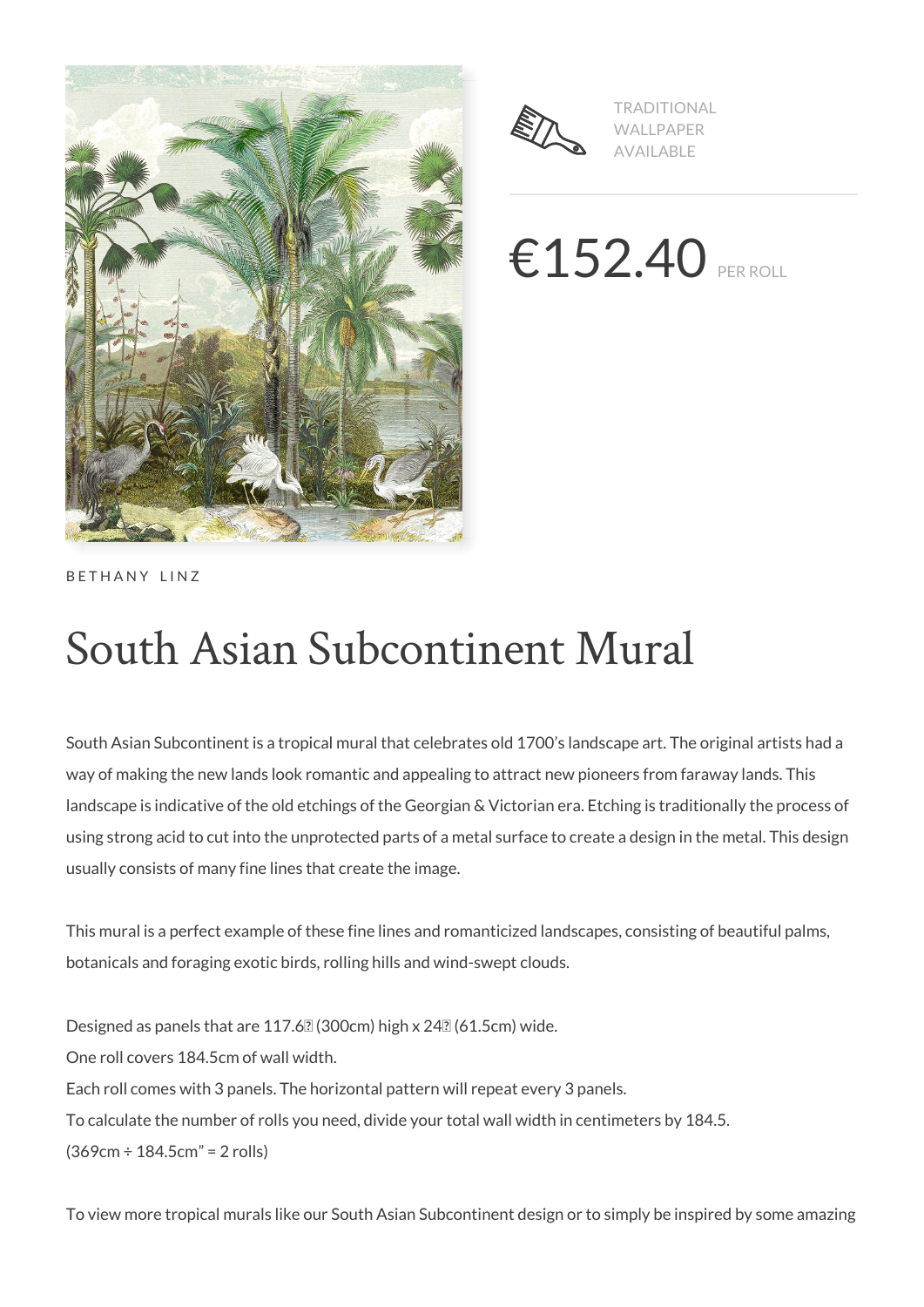



TRADITIONAL WALLPAPER AVAILABLE

 $€152.40$  PER ROLL

BETHANY LINZ

# South Asian Subcontinent Mural

South Asian Subcontinent is a tropical mural that celebrates old 1700's landscape art. The original artists had a way of making the new lands look romantic and appealing to attract new pioneers from faraway lands. This landscape is indicative of the old etchings of the Georgian & Victorian era. Etching is traditionally the process of using strong acid to cut into the unprotected parts of a metal surface to create a design in the metal. This design usually consists of many fine lines that create the image.

This mural is a perfect example of these fine lines and romanticized landscapes, consisting of beautiful palms, botanicals and foraging exotic birds, rolling hills and wind-swept clouds.

Designed as panels that are 117.6 $2$  (300cm) high x 24 $2$  (61.5cm) wide. One roll covers 184.5cm of wall width. Each roll comes with 3 panels. The horizontal pattern will repeat every 3 panels. To calculate the number of rolls you need, divide your total wall width in centimeters by 184.5. (369cm ÷ 184.5cm" = 2 rolls)

To view more tropical murals like our South Asian Subcontinent design or to simply be inspired by some amazing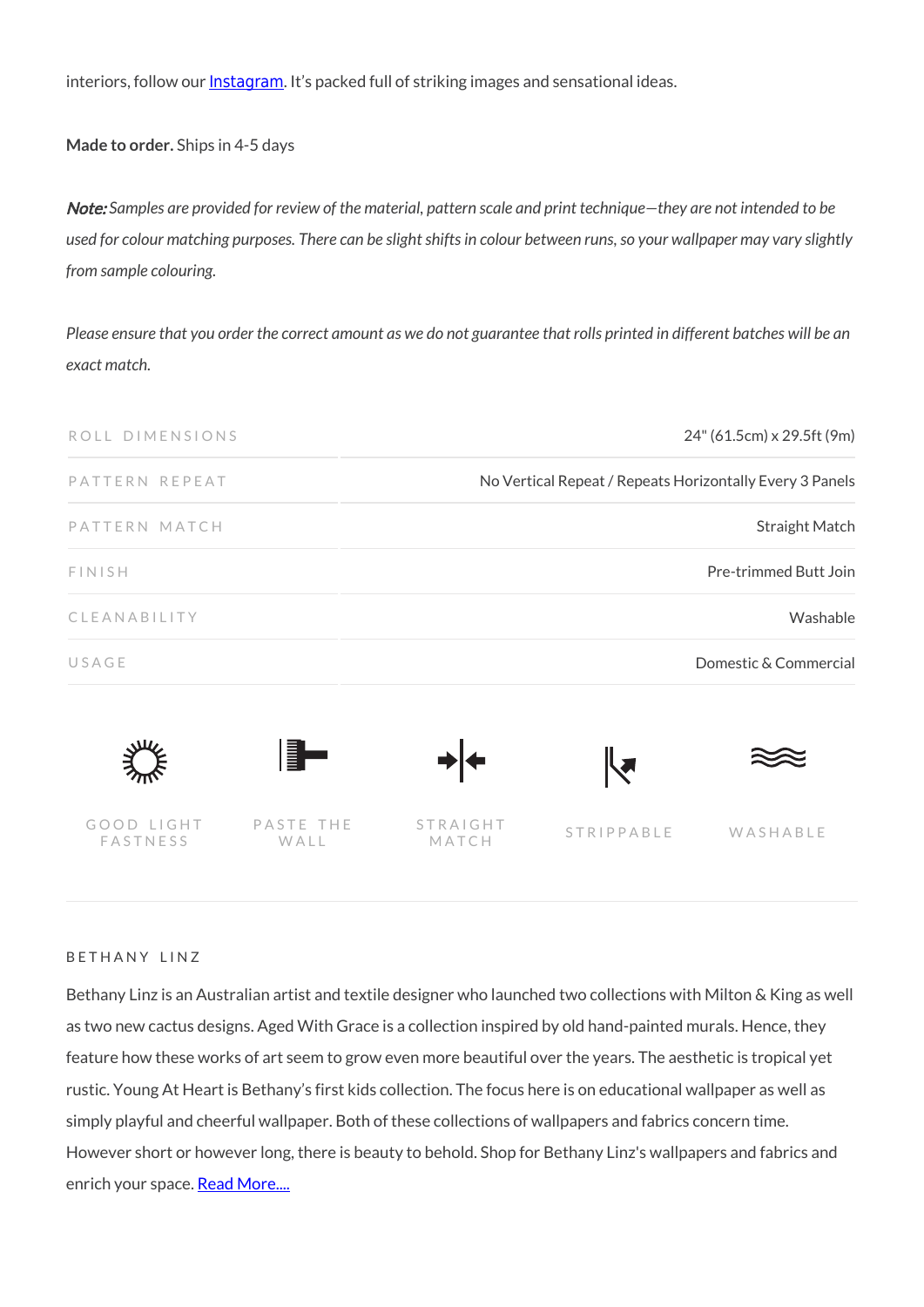interiors, follow our **[Instagram](https://www.instagram.com/miltonandking/)**. It's packed full of striking images and sensational ideas.

**Made to order.** Ships in 4-5 days

Note: *Samples are provided for review of the material, pattern scale and print technique—they are not intended to be used for colour matching purposes. There can be slight shifts in colour between runs, so your wallpaper may vary slightly from sample colouring.*

*Please ensure that you order the correct amount as we do not guarantee that rolls printed in different batches will be an exact match.*

| ROLL DIMENSIONS        |                   | 24" (61.5cm) x 29.5ft (9m)                               |                   |          |
|------------------------|-------------------|----------------------------------------------------------|-------------------|----------|
| PATTERN REPEAT         |                   | No Vertical Repeat / Repeats Horizontally Every 3 Panels |                   |          |
| PATTERN MATCH          |                   | <b>Straight Match</b>                                    |                   |          |
| <b>FINISH</b>          |                   | Pre-trimmed Butt Join                                    |                   |          |
| CLEANABILITY           |                   | Washable                                                 |                   |          |
| USAGE                  |                   | Domestic & Commercial                                    |                   |          |
|                        | ▌                 |                                                          |                   |          |
| GOOD LIGHT<br>FASTNESS | PASTE THE<br>WALL | STRAIGHT<br>MATCH                                        | <b>STRIPPABLE</b> | WASHABLE |

#### BETHANY LINZ

Bethany Linz is an Australian artist and textile designer who launched two collections with Milton & King as well as two new cactus designs. Aged With Grace is a collection inspired by old hand-painted murals. Hence, they feature how these works of art seem to grow even more beautiful over the years. The aesthetic is tropical yet rustic. Young At Heart is Bethany's first kids collection. The focus here is on educational wallpaper as well as simply playful and cheerful wallpaper. Both of these collections of wallpapers and fabrics concern time. However short or however long, there is beauty to behold. Shop for Bethany Linz's wallpapers and fabrics and enrich your space. [Read More....](https://www.miltonandking.com/blog/who-is-bethany-linz/)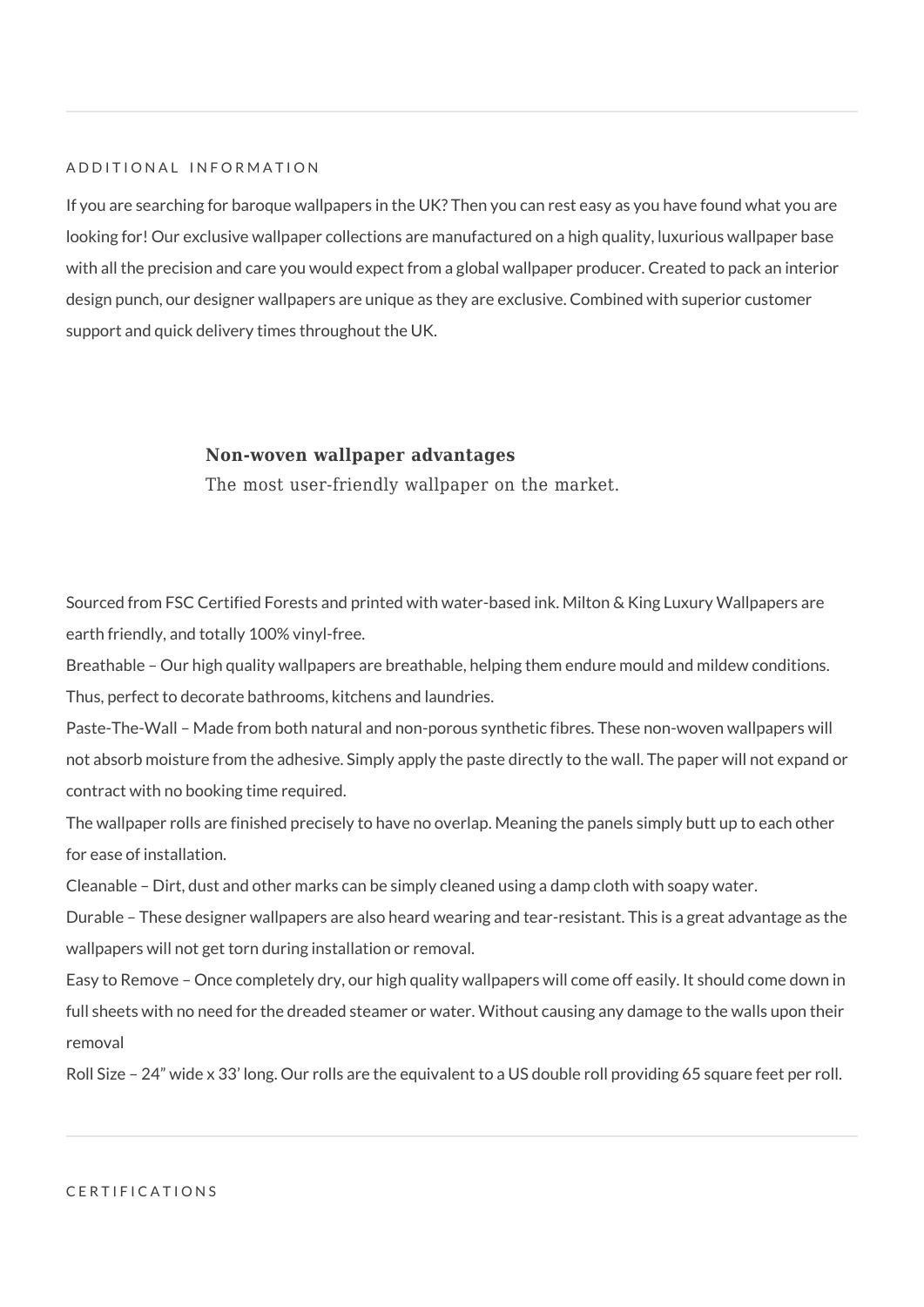#### ADDITIONAL INFORMATION

If you are searching for baroque wallpapers in the UK? Then you can rest easy as you have found what you are looking for! Our exclusive wallpaper collections are manufactured on a high quality, luxurious wallpaper base with all the precision and care you would expect from a global wallpaper producer. Created to pack an interior design punch, our designer wallpapers are unique as they are exclusive. Combined with superior customer support and quick delivery times throughout the UK.

#### **Non-woven wallpaper advantages**

The most user-friendly wallpaper on the market.

Sourced from FSC Certified Forests and printed with water-based ink. Milton & King Luxury Wallpapers are earth friendly, and totally 100% vinyl-free.

Breathable – Our high quality wallpapers are breathable, helping them endure mould and mildew conditions. Thus, perfect to decorate bathrooms, kitchens and laundries.

Paste-The-Wall – Made from both natural and non-porous synthetic fibres. These non-woven wallpapers will not absorb moisture from the adhesive. Simply apply the paste directly to the wall. The paper will not expand or contract with no booking time required.

The wallpaper rolls are finished precisely to have no overlap. Meaning the panels simply butt up to each other for ease of installation.

Cleanable – Dirt, dust and other marks can be simply cleaned using a damp cloth with soapy water.

Durable – These designer wallpapers are also heard wearing and tear-resistant. This is a great advantage as the wallpapers will not get torn during installation or removal.

Easy to Remove – Once completely dry, our high quality wallpapers will come off easily. It should come down in full sheets with no need for the dreaded steamer or water. Without causing any damage to the walls upon their removal

Roll Size – 24" wide x 33' long. Our rolls are the equivalent to a US double roll providing 65 square feet per roll.